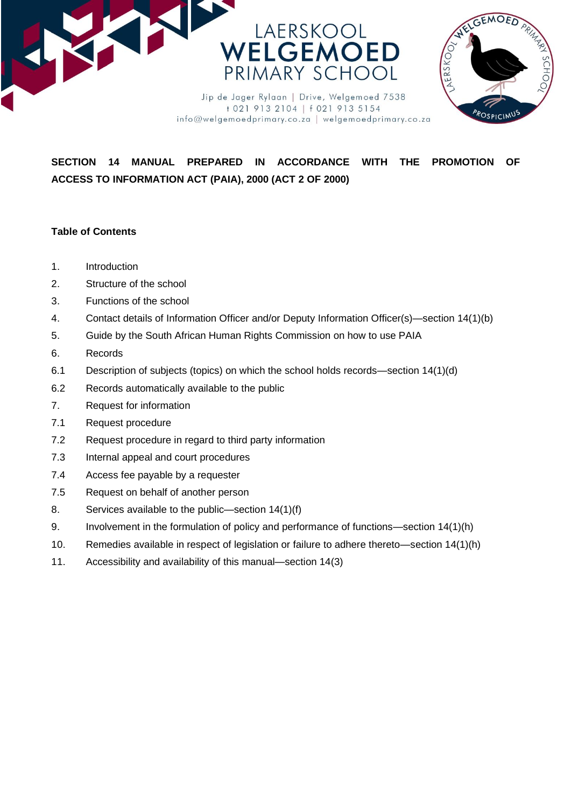



**SECTION 14 MANUAL PREPARED IN ACCORDANCE WITH THE PROMOTION OF** 

info@welgemoedprimary.co.za | welgemoedprimary.co.za

**ACCESS TO INFORMATION ACT (PAIA), 2000 (ACT 2 OF 2000)**

## **Table of Contents**

- 1. Introduction
- 2. Structure of the school
- 3. Functions of the school
- 4. Contact details of Information Officer and/or Deputy Information Officer(s)—section 14(1)(b)
- 5. Guide by the South African Human Rights Commission on how to use PAIA
- 6. Records
- 6.1 Description of subjects (topics) on which the school holds records—section 14(1)(d)
- 6.2 Records automatically available to the public
- 7. Request for information
- 7.1 Request procedure
- 7.2 Request procedure in regard to third party information
- 7.3 Internal appeal and court procedures
- 7.4 Access fee payable by a requester
- 7.5 Request on behalf of another person
- 8. Services available to the public—section 14(1)(f)
- 9. Involvement in the formulation of policy and performance of functions—section 14(1)(h)
- 10. Remedies available in respect of legislation or failure to adhere thereto—section 14(1)(h)
- 11. Accessibility and availability of this manual—section 14(3)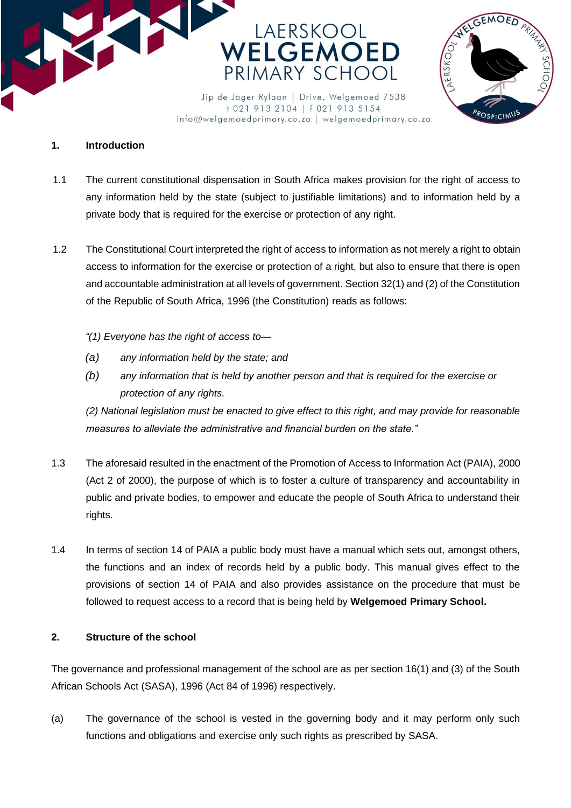



+021 913 2104 | f 021 913 5154 info@welgemoedprimary.co.za | welgemoedprimary.co.za

## **1. Introduction**

- 1.1 The current constitutional dispensation in South Africa makes provision for the right of access to any information held by the state (subject to justifiable limitations) and to information held by a private body that is required for the exercise or protection of any right.
- 1.2 The Constitutional Court interpreted the right of access to information as not merely a right to obtain access to information for the exercise or protection of a right, but also to ensure that there is open and accountable administration at all levels of government. Section 32(1) and (2) of the Constitution of the Republic of South Africa, 1996 (the Constitution) reads as follows:
	- *"(1) Everyone has the right of access to—*
	- *(a) any information held by the state; and*
	- *(b) any information that is held by another person and that is required for the exercise or protection of any rights.*

*(2) National legislation must be enacted to give effect to this right, and may provide for reasonable measures to alleviate the administrative and financial burden on the state."*

- 1.3 The aforesaid resulted in the enactment of the Promotion of Access to Information Act (PAIA), 2000 (Act 2 of 2000), the purpose of which is to foster a culture of transparency and accountability in public and private bodies, to empower and educate the people of South Africa to understand their rights.
- 1.4 In terms of section 14 of PAIA a public body must have a manual which sets out, amongst others, the functions and an index of records held by a public body. This manual gives effect to the provisions of section 14 of PAIA and also provides assistance on the procedure that must be followed to request access to a record that is being held by **Welgemoed Primary School.**

## **2. Structure of the school**

The governance and professional management of the school are as per section 16(1) and (3) of the South African Schools Act (SASA), 1996 (Act 84 of 1996) respectively.

(a) The governance of the school is vested in the governing body and it may perform only such functions and obligations and exercise only such rights as prescribed by SASA.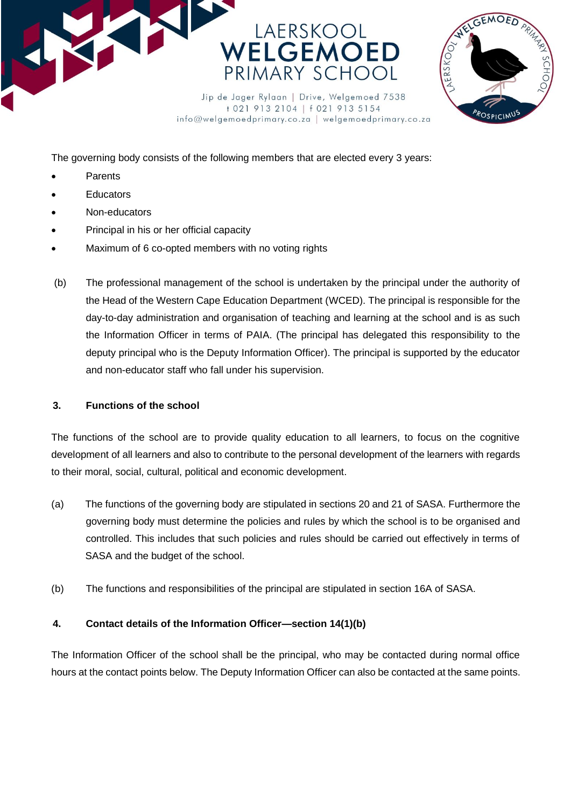



info@welgemoedprimary.co.za | welgemoedprimary.co.za

The governing body consists of the following members that are elected every 3 years:

- Parents
- **Educators**
- Non-educators
- Principal in his or her official capacity
- Maximum of 6 co-opted members with no voting rights
- (b) The professional management of the school is undertaken by the principal under the authority of the Head of the Western Cape Education Department (WCED). The principal is responsible for the day-to-day administration and organisation of teaching and learning at the school and is as such the Information Officer in terms of PAIA. (The principal has delegated this responsibility to the deputy principal who is the Deputy Information Officer). The principal is supported by the educator and non-educator staff who fall under his supervision.

### **3. Functions of the school**

The functions of the school are to provide quality education to all learners, to focus on the cognitive development of all learners and also to contribute to the personal development of the learners with regards to their moral, social, cultural, political and economic development.

- (a) The functions of the governing body are stipulated in sections 20 and 21 of SASA. Furthermore the governing body must determine the policies and rules by which the school is to be organised and controlled. This includes that such policies and rules should be carried out effectively in terms of SASA and the budget of the school.
- (b) The functions and responsibilities of the principal are stipulated in section 16A of SASA.

## **4. Contact details of the Information Officer—section 14(1)(b)**

The Information Officer of the school shall be the principal, who may be contacted during normal office hours at the contact points below. The Deputy Information Officer can also be contacted at the same points.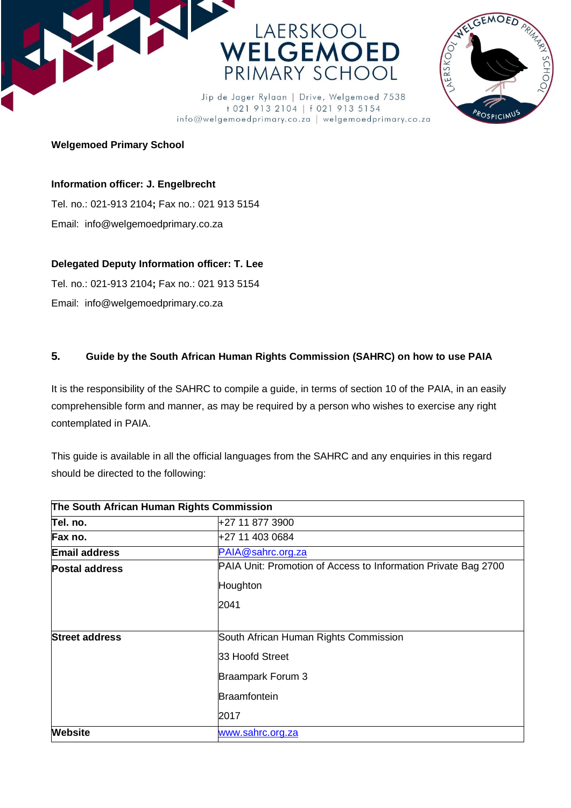



Jip de Jager Rylaan | Drive, Welgemoed 7538 +021 913 2104 | f 021 913 5154 info@welgemoedprimary.co.za | welgemoedprimary.co.za

## **Welgemoed Primary School**

## **Information officer: J. Engelbrecht**

Tel. no.: 021-913 2104**;** Fax no.: 021 913 5154 Email: info@welgemoedprimary.co.za

## **Delegated Deputy Information officer: T. Lee**

Tel. no.: 021-913 2104**;** Fax no.: 021 913 5154

Email: info@welgemoedprimary.co.za

# **5. Guide by the South African Human Rights Commission (SAHRC) on how to use PAIA**

It is the responsibility of the SAHRC to compile a guide, in terms of section 10 of the PAIA, in an easily comprehensible form and manner, as may be required by a person who wishes to exercise any right contemplated in PAIA.

This guide is available in all the official languages from the SAHRC and any enquiries in this regard should be directed to the following:

| The South African Human Rights Commission |                                                                |  |
|-------------------------------------------|----------------------------------------------------------------|--|
| Tel. no.                                  | +27 11 877 3900                                                |  |
| Fax no.                                   | +27 11 403 0684                                                |  |
| <b>Email address</b>                      | PAIA@sahrc.org.za                                              |  |
| <b>Postal address</b>                     | PAIA Unit: Promotion of Access to Information Private Bag 2700 |  |
|                                           | Houghton                                                       |  |
|                                           | 2041                                                           |  |
| <b>Street address</b>                     | South African Human Rights Commission                          |  |
|                                           | 33 Hoofd Street                                                |  |
|                                           | Braampark Forum 3                                              |  |
|                                           | Braamfontein                                                   |  |
|                                           | 2017                                                           |  |
| <b>Website</b>                            | www.sahrc.org.za                                               |  |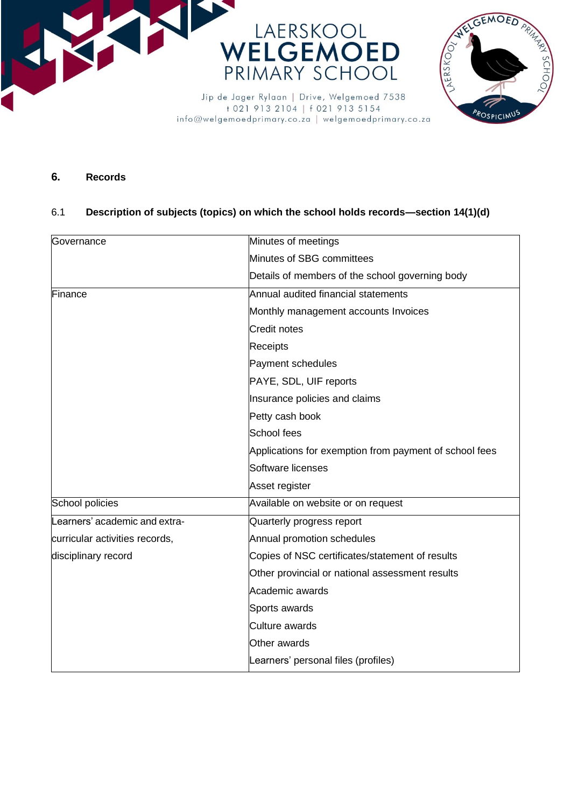



**6. Records**

## 6.1 **Description of subjects (topics) on which the school holds records—section 14(1)(d)**

| Governance                     | Minutes of meetings                                    |
|--------------------------------|--------------------------------------------------------|
|                                | Minutes of SBG committees                              |
|                                | Details of members of the school governing body        |
| Finance                        | Annual audited financial statements                    |
|                                | Monthly management accounts Invoices                   |
|                                | <b>Credit notes</b>                                    |
|                                | Receipts                                               |
|                                | Payment schedules                                      |
|                                | PAYE, SDL, UIF reports                                 |
|                                | Insurance policies and claims                          |
|                                | Petty cash book                                        |
|                                | School fees                                            |
|                                | Applications for exemption from payment of school fees |
|                                | Software licenses                                      |
|                                | Asset register                                         |
| School policies                | Available on website or on request                     |
| Learners' academic and extra-  | Quarterly progress report                              |
| curricular activities records, | Annual promotion schedules                             |
| disciplinary record            | Copies of NSC certificates/statement of results        |
|                                | Other provincial or national assessment results        |
|                                | Academic awards                                        |
|                                | Sports awards                                          |
|                                | Culture awards                                         |
|                                | Other awards                                           |
|                                | Learners' personal files (profiles)                    |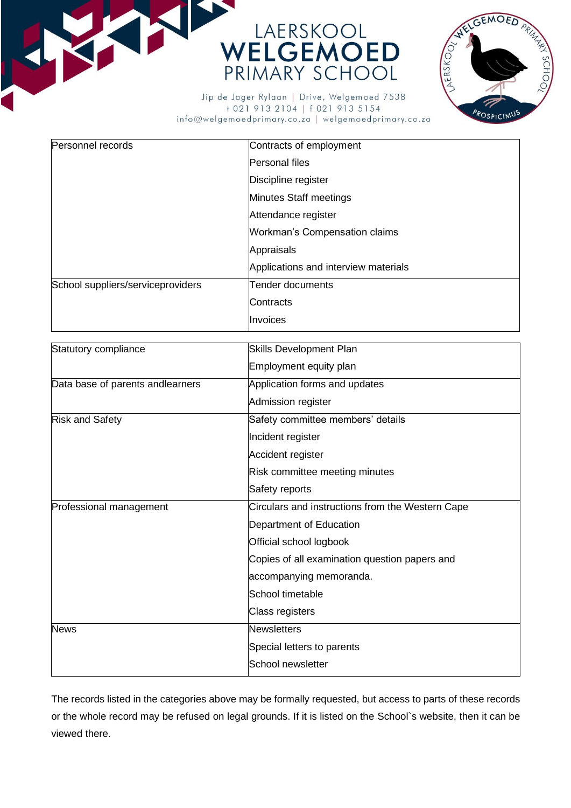



Jip de Jager Rylaan | Drive, Welgemoed 7538 +021 913 2104 | f 021 913 5154 info@welgemoedprimary.co.za | welgemoedprimary.co.za

| Personnel records                 | Contracts of employment              |
|-----------------------------------|--------------------------------------|
|                                   | Personal files                       |
|                                   | Discipline register                  |
|                                   | <b>Minutes Staff meetings</b>        |
|                                   | Attendance register                  |
|                                   | <b>Workman's Compensation claims</b> |
|                                   | Appraisals                           |
|                                   | Applications and interview materials |
| School suppliers/serviceproviders | Tender documents                     |
|                                   | Contracts                            |
|                                   | Invoices                             |

| Statutory compliance             | <b>Skills Development Plan</b>                   |
|----------------------------------|--------------------------------------------------|
|                                  | Employment equity plan                           |
| Data base of parents andlearners | Application forms and updates                    |
|                                  | Admission register                               |
| <b>Risk and Safety</b>           | Safety committee members' details                |
|                                  | Incident register                                |
|                                  | Accident register                                |
|                                  | Risk committee meeting minutes                   |
|                                  | Safety reports                                   |
| Professional management          | Circulars and instructions from the Western Cape |
|                                  | Department of Education                          |
|                                  | Official school logbook                          |
|                                  | Copies of all examination question papers and    |
|                                  | accompanying memoranda.                          |
|                                  | School timetable                                 |
|                                  | Class registers                                  |
| <b>News</b>                      | <b>Newsletters</b>                               |
|                                  | Special letters to parents                       |
|                                  | School newsletter                                |

The records listed in the categories above may be formally requested, but access to parts of these records or the whole record may be refused on legal grounds. If it is listed on the School`s website, then it can be viewed there.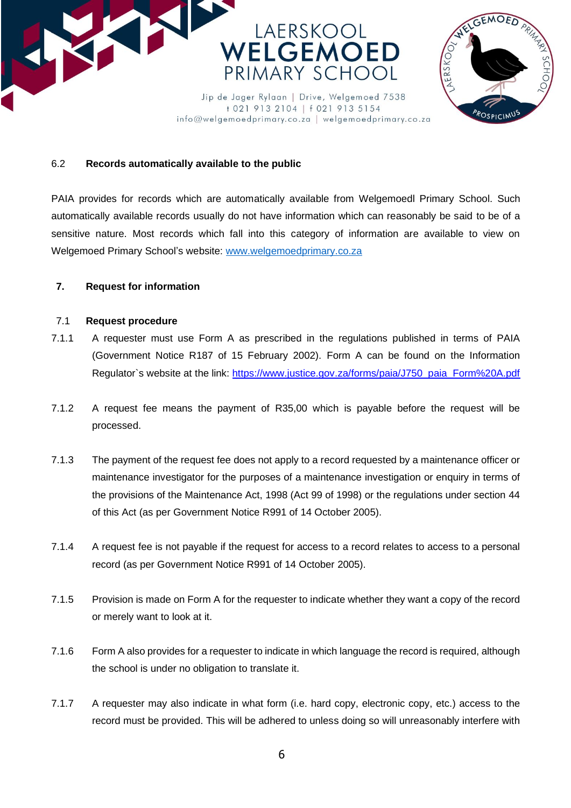



## 6.2 **Records automatically available to the public**

PAIA provides for records which are automatically available from Welgemoedl Primary School. Such automatically available records usually do not have information which can reasonably be said to be of a sensitive nature. Most records which fall into this category of information are available to view on Welgemoed Primary School's website: [www.welgemoedprimary.co.za](http://www.welgemoedprimary.co.za/)

info@welgemoedprimary.co.za | welgemoedprimary.co.za

### **7. Request for information**

#### 7.1 **Request procedure**

- 7.1.1 A requester must use Form A as prescribed in the regulations published in terms of PAIA (Government Notice R187 of 15 February 2002). Form A can be found on the Information Regulator`s website at the link: https://www.justice.gov.za/forms/paia/J750\_paia\_Form%20A.pdf
- 7.1.2 A request fee means the payment of R35,00 which is payable before the request will be processed.
- 7.1.3 The payment of the request fee does not apply to a record requested by a maintenance officer or maintenance investigator for the purposes of a maintenance investigation or enquiry in terms of the provisions of the Maintenance Act, 1998 (Act 99 of 1998) or the regulations under section 44 of this Act (as per Government Notice R991 of 14 October 2005).
- 7.1.4 A request fee is not payable if the request for access to a record relates to access to a personal record (as per Government Notice R991 of 14 October 2005).
- 7.1.5 Provision is made on Form A for the requester to indicate whether they want a copy of the record or merely want to look at it.
- 7.1.6 Form A also provides for a requester to indicate in which language the record is required, although the school is under no obligation to translate it.
- 7.1.7 A requester may also indicate in what form (i.e. hard copy, electronic copy, etc.) access to the record must be provided. This will be adhered to unless doing so will unreasonably interfere with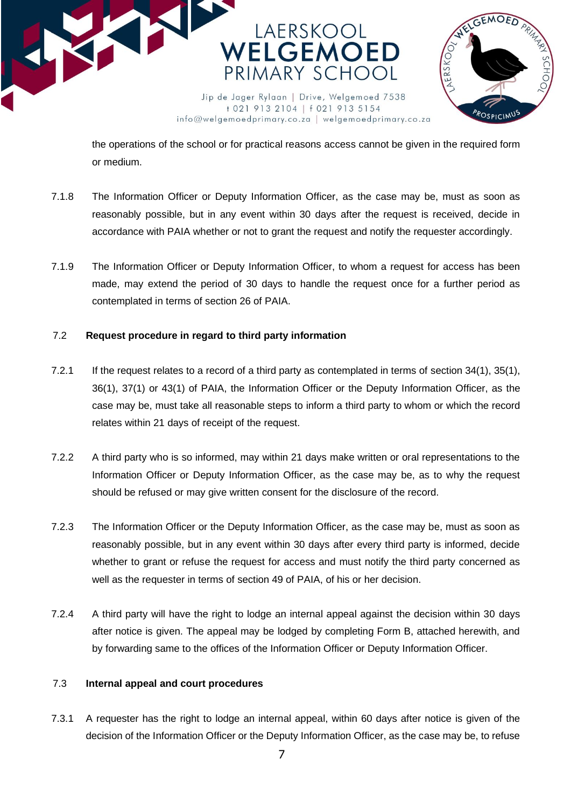



the operations of the school or for practical reasons access cannot be given in the required form or medium.

- 7.1.8 The Information Officer or Deputy Information Officer, as the case may be, must as soon as reasonably possible, but in any event within 30 days after the request is received, decide in accordance with PAIA whether or not to grant the request and notify the requester accordingly.
- 7.1.9 The Information Officer or Deputy Information Officer, to whom a request for access has been made, may extend the period of 30 days to handle the request once for a further period as contemplated in terms of section 26 of PAIA.

## 7.2 **Request procedure in regard to third party information**

- 7.2.1 If the request relates to a record of a third party as contemplated in terms of section 34(1), 35(1), 36(1), 37(1) or 43(1) of PAIA, the Information Officer or the Deputy Information Officer, as the case may be, must take all reasonable steps to inform a third party to whom or which the record relates within 21 days of receipt of the request.
- 7.2.2 A third party who is so informed, may within 21 days make written or oral representations to the Information Officer or Deputy Information Officer, as the case may be, as to why the request should be refused or may give written consent for the disclosure of the record.
- 7.2.3 The Information Officer or the Deputy Information Officer, as the case may be, must as soon as reasonably possible, but in any event within 30 days after every third party is informed, decide whether to grant or refuse the request for access and must notify the third party concerned as well as the requester in terms of section 49 of PAIA, of his or her decision.
- 7.2.4 A third party will have the right to lodge an internal appeal against the decision within 30 days after notice is given. The appeal may be lodged by completing Form B, attached herewith, and by forwarding same to the offices of the Information Officer or Deputy Information Officer.

## 7.3 **Internal appeal and court procedures**

7.3.1 A requester has the right to lodge an internal appeal, within 60 days after notice is given of the decision of the Information Officer or the Deputy Information Officer, as the case may be, to refuse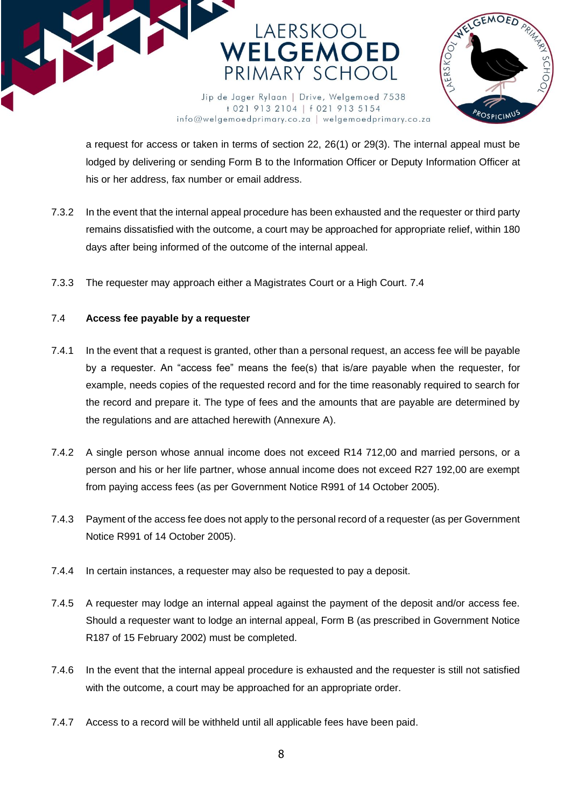



a request for access or taken in terms of section 22, 26(1) or 29(3). The internal appeal must be lodged by delivering or sending Form B to the Information Officer or Deputy Information Officer at his or her address, fax number or email address.

info@welgemoedprimary.co.za | welgemoedprimary.co.za

- 7.3.2 In the event that the internal appeal procedure has been exhausted and the requester or third party remains dissatisfied with the outcome, a court may be approached for appropriate relief, within 180 days after being informed of the outcome of the internal appeal.
- 7.3.3 The requester may approach either a Magistrates Court or a High Court. 7.4

### 7.4 **Access fee payable by a requester**

- 7.4.1 In the event that a request is granted, other than a personal request, an access fee will be payable by a requester. An "access fee" means the fee(s) that is/are payable when the requester, for example, needs copies of the requested record and for the time reasonably required to search for the record and prepare it. The type of fees and the amounts that are payable are determined by the regulations and are attached herewith (Annexure A).
- 7.4.2 A single person whose annual income does not exceed R14 712,00 and married persons, or a person and his or her life partner, whose annual income does not exceed R27 192,00 are exempt from paying access fees (as per Government Notice R991 of 14 October 2005).
- 7.4.3 Payment of the access fee does not apply to the personal record of a requester (as per Government Notice R991 of 14 October 2005).
- 7.4.4 In certain instances, a requester may also be requested to pay a deposit.
- 7.4.5 A requester may lodge an internal appeal against the payment of the deposit and/or access fee. Should a requester want to lodge an internal appeal, Form B (as prescribed in Government Notice R187 of 15 February 2002) must be completed.
- 7.4.6 In the event that the internal appeal procedure is exhausted and the requester is still not satisfied with the outcome, a court may be approached for an appropriate order.
- 7.4.7 Access to a record will be withheld until all applicable fees have been paid.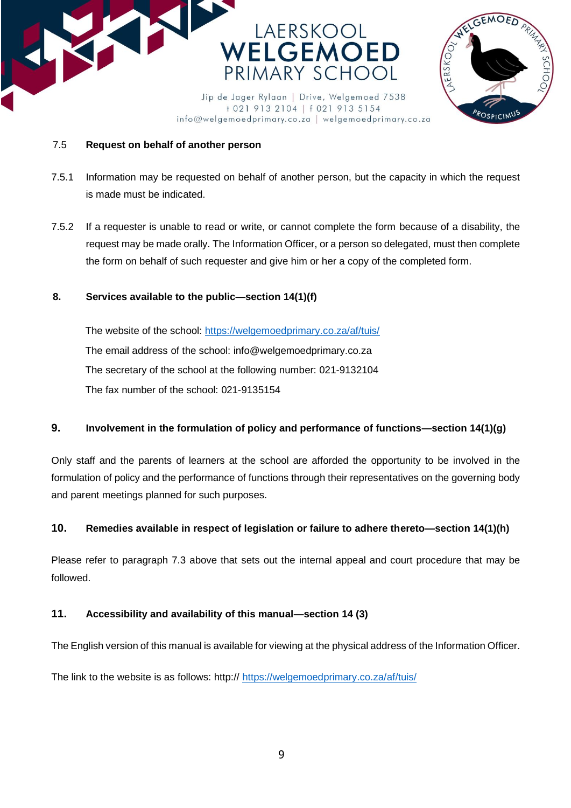



## 7.5 **Request on behalf of another person**

7.5.1 Information may be requested on behalf of another person, but the capacity in which the request is made must be indicated.

info@welgemoedprimary.co.za | welgemoedprimary.co.za

7.5.2 If a requester is unable to read or write, or cannot complete the form because of a disability, the request may be made orally. The Information Officer, or a person so delegated, must then complete the form on behalf of such requester and give him or her a copy of the completed form.

## **8. Services available to the public—section 14(1)(f)**

The website of the school:<https://welgemoedprimary.co.za/af/tuis/> The email address of the school: info@welgemoedprimary.co.za The secretary of the school at the following number: 021-9132104 The fax number of the school: 021-9135154

## **9. Involvement in the formulation of policy and performance of functions—section 14(1)(g)**

Only staff and the parents of learners at the school are afforded the opportunity to be involved in the formulation of policy and the performance of functions through their representatives on the governing body and parent meetings planned for such purposes.

## **10. Remedies available in respect of legislation or failure to adhere thereto—section 14(1)(h)**

Please refer to paragraph 7.3 above that sets out the internal appeal and court procedure that may be followed.

## **11. Accessibility and availability of this manual—section 14 (3)**

The English version of this manual is available for viewing at the physical address of the Information Officer.

The link to the website is as follows: http:// <https://welgemoedprimary.co.za/af/tuis/>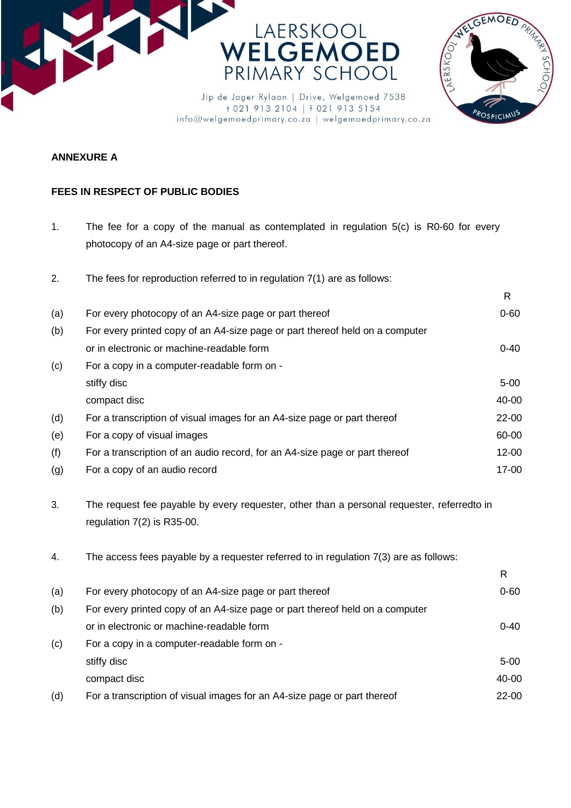



+021 913 2104 | f 021 913 5154 info@welgemoedprimary.co.za | welgemoedprimary.co.za

## **ANNEXURE A**

## **FEES IN RESPECT OF PUBLIC BODIES**

1. The fee for a copy of the manual as contemplated in regulation 5(c) is R0-60 for every photocopy of an A4-size page or part thereof.

| 2.  | The fees for reproduction referred to in regulation $7(1)$ are as follows:                                               |              |
|-----|--------------------------------------------------------------------------------------------------------------------------|--------------|
|     |                                                                                                                          | $\mathsf{R}$ |
| (a) | For every photocopy of an A4-size page or part thereof                                                                   | $0 - 60$     |
| (b) | For every printed copy of an A4-size page or part thereof held on a computer                                             |              |
|     | or in electronic or machine-readable form                                                                                | $0 - 40$     |
| (c) | For a copy in a computer-readable form on -                                                                              |              |
|     | stiffy disc                                                                                                              | $5 - 00$     |
|     | compact disc                                                                                                             | 40-00        |
| (d) | For a transcription of visual images for an A4-size page or part thereof                                                 | $22 - 00$    |
| (e) | For a copy of visual images                                                                                              | 60-00        |
| (f) | For a transcription of an audio record, for an A4-size page or part thereof                                              | $12 - 00$    |
| (g) | For a copy of an audio record                                                                                            | 17-00        |
| 3.  | The request fee payable by every requester, other than a personal requester, referredto in<br>regulation 7(2) is R35-00. |              |
| 4.  | The access fees payable by a requester referred to in regulation 7(3) are as follows:                                    |              |
|     |                                                                                                                          | $\mathsf{R}$ |
| (a) | For every photocopy of an A4-size page or part thereof                                                                   | $0 - 60$     |
| (b) | For every printed copy of an A4-size page or part thereof held on a computer                                             |              |
|     | or in electronic or machine-readable form                                                                                | $0 - 40$     |
| (c) | For a copy in a computer-readable form on -                                                                              |              |
|     | stiffy disc                                                                                                              | $5 - 00$     |
|     | compact disc                                                                                                             | 40-00        |
| (d) | For a transcription of visual images for an A4-size page or part thereof                                                 | $22 - 00$    |